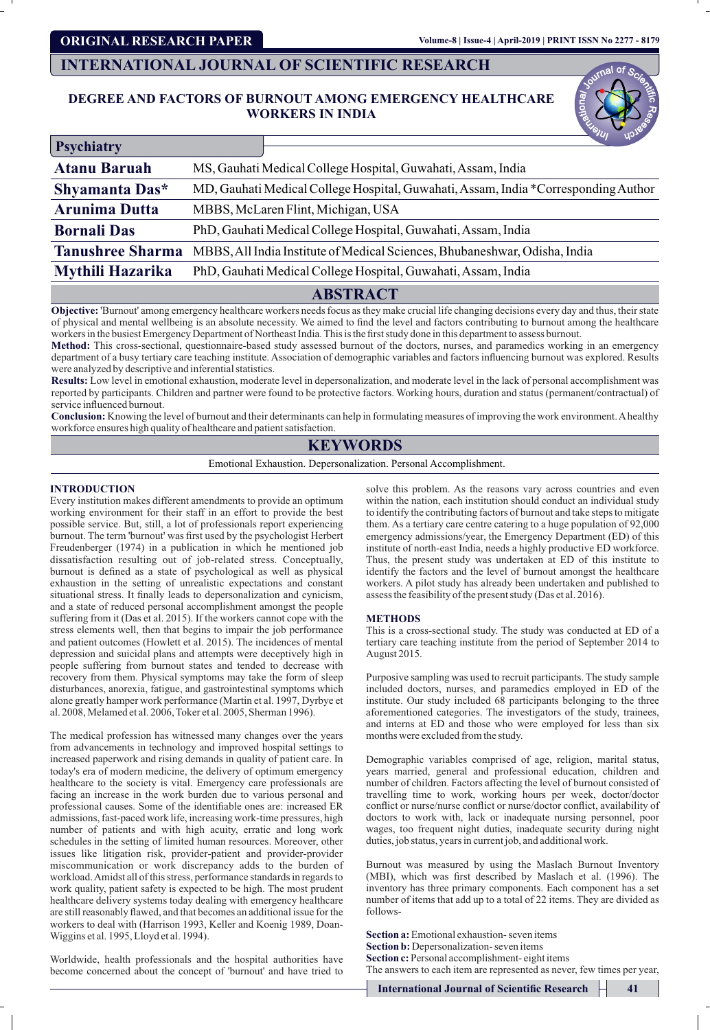**ORIGINAL RESEARCH PAPER**

# **DEGREE AND FACTORS OF BURNOUT AMONG EMERGENCY HEALTHCARE WORKERS IN INDIA**

| DEGREE AND FACTORS OF BURNOUT AMONG EMERGENCY HEALTHCARE                                                                                                                                                                                                                                                                                                                                                                                                                                                                                                                                                                                                                                                                                                                                                                                                                                                                                                                                                                                                              |
|-----------------------------------------------------------------------------------------------------------------------------------------------------------------------------------------------------------------------------------------------------------------------------------------------------------------------------------------------------------------------------------------------------------------------------------------------------------------------------------------------------------------------------------------------------------------------------------------------------------------------------------------------------------------------------------------------------------------------------------------------------------------------------------------------------------------------------------------------------------------------------------------------------------------------------------------------------------------------------------------------------------------------------------------------------------------------|
|                                                                                                                                                                                                                                                                                                                                                                                                                                                                                                                                                                                                                                                                                                                                                                                                                                                                                                                                                                                                                                                                       |
| MS, Gauhati Medical College Hospital, Guwahati, Assam, India                                                                                                                                                                                                                                                                                                                                                                                                                                                                                                                                                                                                                                                                                                                                                                                                                                                                                                                                                                                                          |
| MD, Gauhati Medical College Hospital, Guwahati, Assam, India *Corresponding Author                                                                                                                                                                                                                                                                                                                                                                                                                                                                                                                                                                                                                                                                                                                                                                                                                                                                                                                                                                                    |
|                                                                                                                                                                                                                                                                                                                                                                                                                                                                                                                                                                                                                                                                                                                                                                                                                                                                                                                                                                                                                                                                       |
| PhD, Gauhati Medical College Hospital, Guwahati, Assam, India                                                                                                                                                                                                                                                                                                                                                                                                                                                                                                                                                                                                                                                                                                                                                                                                                                                                                                                                                                                                         |
| MBBS, All India Institute of Medical Sciences, Bhubaneshwar, Odisha, India                                                                                                                                                                                                                                                                                                                                                                                                                                                                                                                                                                                                                                                                                                                                                                                                                                                                                                                                                                                            |
| PhD, Gauhati Medical College Hospital, Guwahati, Assam, India                                                                                                                                                                                                                                                                                                                                                                                                                                                                                                                                                                                                                                                                                                                                                                                                                                                                                                                                                                                                         |
|                                                                                                                                                                                                                                                                                                                                                                                                                                                                                                                                                                                                                                                                                                                                                                                                                                                                                                                                                                                                                                                                       |
| of physical and mental wellbeing is an absolute necessity. We aimed to find the level and factors contributing to burnout among the healthcare<br>workers in the busiest Emergency Department of Northeast India. This is the first study done in this department to assess burnout.<br>Method: This cross-sectional, questionnaire-based study assessed burnout of the doctors, nurses, and paramedics working in an emergency<br>department of a busy tertiary care teaching institute. Association of demographic variables and factors influencing burnout was explored. Results<br>Results: Low level in emotional exhaustion, moderate level in depersonalization, and moderate level in the lack of personal accomplishment was<br>reported by participants. Children and partner were found to be protective factors. Working hours, duration and status (permanent/contractual) of<br><b>Conclusion:</b> Knowing the level of burnout and their determinants can help in formulating measures of improving the work environment. A healthy                   |
|                                                                                                                                                                                                                                                                                                                                                                                                                                                                                                                                                                                                                                                                                                                                                                                                                                                                                                                                                                                                                                                                       |
| Emotional Exhaustion. Depersonalization. Personal Accomplishment.                                                                                                                                                                                                                                                                                                                                                                                                                                                                                                                                                                                                                                                                                                                                                                                                                                                                                                                                                                                                     |
| solve this problem. As the reasons vary across countries and even<br>within the nation, each institution should conduct an individual study<br>to identify the contributing factors of burnout and take steps to mitigate<br>them. As a tertiary care centre catering to a huge population of 92,000<br>emergency admissions/year, the Emergency Department (ED) of this<br>institute of north-east India, needs a highly productive ED workforce.<br>Thus, the present study was undertaken at ED of this institute to<br>identify the factors and the level of burnout amongst the healthcare<br>workers. A pilot study has already been undertaken and published to<br>assess the feasibility of the present study (Das et al. 2016).<br><b>METHODS</b><br>This is a cross-sectional study. The study was conducted at ED of a<br>tertiary care teaching institute from the period of September 2014 to<br>August 2015.<br>Purposive sampling was used to recruit participants. The study sample<br>included doctors, nurses, and paramedics employed in ED of the |
| institute. Our study included 68 participants belonging to the three<br>aforementioned categories. The investigators of the study, trainees,<br>and interns at ED and those who were employed for less than six<br>months were excluded from the study.                                                                                                                                                                                                                                                                                                                                                                                                                                                                                                                                                                                                                                                                                                                                                                                                               |
| Demographic variables comprised of age, religion, marital status,<br>years married, general and professional education, children and<br>number of children. Factors affecting the level of burnout consisted of<br>travelling time to work, working hours per week, doctor/doctor<br>conflict or nurse/nurse conflict or nurse/doctor conflict, availability of<br>doctors to work with, lack or inadequate nursing personnel, poor<br>wages, too frequent night duties, inadequate security during night<br>duties, job status, years in current job, and additional work.<br>Burnout was measured by using the Maslach Burnout Inventory<br>(MBI), which was first described by Maslach et al. (1996). The<br>inventory has three primary components. Each component has a set<br>number of items that add up to a total of 22 items. They are divided as<br>Section a: Emotional exhaustion-seven items<br>Section b: Depersonalization-seven items                                                                                                                |
|                                                                                                                                                                                                                                                                                                                                                                                                                                                                                                                                                                                                                                                                                                                                                                                                                                                                                                                                                                                                                                                                       |

# **ABSTRACT**

# **KEYWORDS**

# **INTRODUCTION**

Worldwide, health professionals and the hospital authorities have become concerned about the concept of 'burnout' and have tried to

## **METHODS**

**International Journal of Scientific Research 41**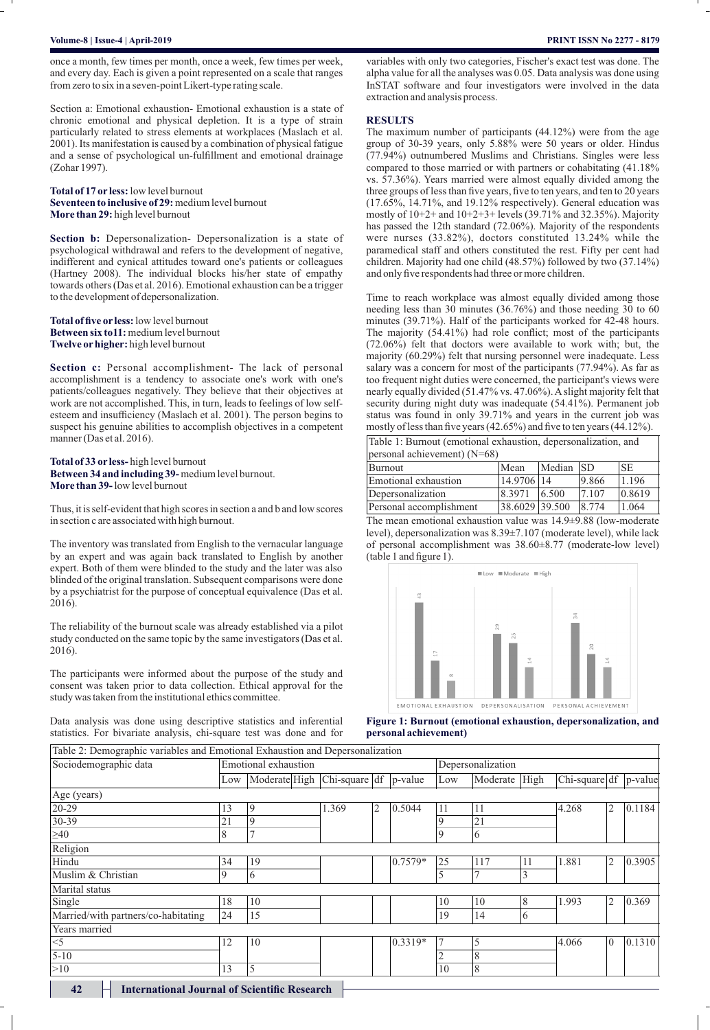## **Volume-8 | Issue-4 | April-2019 PRINT ISSN No 2277 - 8179**

once a month, few times per month, once a week, few times per week, and every day. Each is given a point represented on a scale that ranges from zero to six in a seven-point Likert-type rating scale.

Section a: Emotional exhaustion- Emotional exhaustion is a state of chronic emotional and physical depletion. It is a type of strain particularly related to stress elements at workplaces (Maslach et al. 2001). Its manifestation is caused by a combination of physical fatigue and a sense of psychological un-fulfillment and emotional drainage (Zohar 1997). once a month, few times per month, once a week, few times per week, and every day. Each is given a point represented on a scale that ranges from zero to six in a seven-point Likert-type rating scale.<br>Section a: Emotional e

**Total of 17 or less:**low level burnout **Total of 17 or less:** low level burnout<br>**Seventeen to inclusive of 29:** medium level burnout **More than 29:** high level burnout

**Section b:** Depersonalization- Depersonalization is a state of psychological withdrawal and refers to the development of negative, indifferent and cynical attitudes toward one's patients or colleagues (Hartney 2008). The individual blocks his/her state of empathy towards others (Das et al. 2016). Emotional exhaustion can be a trigger to the development of depersonalization. **129:** high level burnout<br> **129:** high level burnout<br>
cical withdrawal and refers to the development of n<br>
t and cynical attitudes toward one's patients or co<br>
2008). The individual blocks his/her state of e<br>
hers (Das et

**Total of five or less:**low level burnout **Between six to11:**medium level burnout **Twelve orhigher:** high level burnout **Twelve** burnout

**Section c:** Personal accomplishment- The lack of personal accomplishment is a tendency to associate one's work with one's patients/colleagues negatively. They believe that their objectives at work are not accomplished. This, in turn, leads to feelings of low selfesteem and insufficiency (Maslach et al. 2001). The person begins to suspect his genuine abilities to accomplish objectives in a competent manner (Das et al. 2016). **Section c:** Personal accomplishment- The lack of paccomplishment is a tendency to associate one's work w patients/colleagues negatively. They believe that their objectively. They believe are in other and insufficiency (M

**Total of 33 or less-** high level burnout **Between 34 and including 39-** medium level burnout. **More than 39-**low level burnout **Between 34 and including 39-** medium level<br>**More than 39-** low level burnout<br>Thus, it is self-evident that high scores in section<br>in section c are associated with high burnout.

Thus, it is self-evident that high scores in section a and b and low scores

The inventory was translated from English to the vernacular language by an expert and was again back translated to English by another expert. Both of them were blinded to the study and the later was also blinded of the original translation. Subsequent comparisons were done by a psychiatrist for the purpose of conceptual equivalence (Das et al. 2016).

The reliability of the burnout scale was already established via a pilot study conducted on the same topic by the same investigators (Das et al. 2016).

The participants were informed about the purpose of the study and consent was taken prior to data collection. Ethical approval for the study was taken from the institutional ethics committee.

Data analysis was done using descriptive statistics and inferential statistics. For bivariate analysis, chi-square test was done and for

variables with only two categories, Fischer's exact test was done. The alpha value for all the analyses was 0.05. Data analysis was done using InSTAT software and four investigators were involved in the data extraction and analysis process.

### **RESULTS**

The maximum number of participants (44.12%) were from the age group of 30-39 years, only 5.88% were 50 years or older. Hindus (77.94%) outnumbered Muslims and Christians. Singles were less compared to those married or with partners or cohabitating (41.18% vs. 57.36%). Years married were almost equally divided among the three groups of less than five years, five to ten years, and ten to 20 years (17.65%, 14.71%, and 19.12% respectively). General education was mostly of 10+2+ and 10+2+3+ levels (39.71% and 32.35%). Majority has passed the 12th standard (72.06%). Majority of the respondents were nurses (33.82%), doctors constituted 13.24% while the paramedical staff and others constituted the rest. Fifty per cent had children. Majority had one child (48.57%) followed by two (37.14%) and only five respondents had three or more children. were the expert back of the same previously and only the conceptual et of a same the were interest to the same the were interest variables of a same the were interest in the same the were the same that the same the same t maximum number of participants (44.12%) were from the age<br>po of 30-39 years, only 5.88% were 50 years or older. Hindus<br>94%) outnumbered Muslims and Christians. Singles were less<br>ppared to those married or with partners or

Time to reach workplace was almost equally divided among those needing less than  $30$  minutes  $(36.76\%)$  and those needing  $30$  to 60 minutes (39.71%). Half of the participants worked for 42-48 hours. The majority (54.41%) had role conflict; most of the participants (72.06%) felt that doctors were available to work with; but, the majority (60.29%) felt that nursing personnel were inadequate. Less salary was a concern for most of the participants (77.94%). As far as too frequent night duties were concerned, the participant's views were nearly equally divided (51.47% vs. 47.06%). Aslight majority felt that security during night duty was inadequate (54.41%). Permanent job status was found in only 39.71% and years in the current job was mostly of less than five years (42.65%) and five to ten years (44.12%).

Table 1: Burnout (emotional exhaustion, depersonalization, and personal achievement) (N=68)

| Burnout                 | Mean           | Median SD |       | <b>SE</b> |  |  |  |  |  |  |  |  |  |
|-------------------------|----------------|-----------|-------|-----------|--|--|--|--|--|--|--|--|--|
| Emotional exhaustion    | 14.9706 14     |           | 9.866 | 1.196     |  |  |  |  |  |  |  |  |  |
| Depersonalization       | 8.3971         | 6.500     | 17107 | 0.8619    |  |  |  |  |  |  |  |  |  |
| Personal accomplishment | 38.6029 39.500 |           | 8.774 | 1.064     |  |  |  |  |  |  |  |  |  |

The mean emotional exhaustion value was 14.9±9.88 (low-moderate level), depersonalization was 8.39±7.107 (moderate level), while lack of personal accomplishment was 38.60±8.77 (moderate-low level) (table 1 and figure 1). mean emotional exhaustion value was 14.9±9.88 (low<br>0), depersonalization was  $8.39\pm7.107$  (moderate level), ersonal accomplishment was  $38.60\pm8.77$  (moderate-level) and figure 1).



**Figure 1: Burnout (emotional exhaustion, depersonalization, and Burnout (emotional achievement) personal achievement)**

| Table 2: Demographic variables and Emotional Exhaustion and Depersonalization |     |                                     |       |   |         |                   |               |    |               |                |         |  |
|-------------------------------------------------------------------------------|-----|-------------------------------------|-------|---|---------|-------------------|---------------|----|---------------|----------------|---------|--|
| Sociodemographic data                                                         |     | Emotional exhaustion                |       |   |         | Depersonalization |               |    |               |                |         |  |
|                                                                               | Low | Moderate High Chi-square df p-value |       |   |         | Low               | Moderate High |    | Chi-square df |                | p-value |  |
| Age (years)                                                                   |     |                                     |       |   |         |                   |               |    |               |                |         |  |
| 20-29                                                                         | 13  | 9                                   | 1.369 | 2 | 0.5044  | 11                | 11<br> 21     |    | 4.268         | 2              | 0.1184  |  |
| 30-39                                                                         | 21  | 9                                   |       |   |         |                   |               |    |               |                |         |  |
| $\geq 40$                                                                     | 8   |                                     |       |   |         | 9                 | 16            |    |               |                |         |  |
| Religion                                                                      |     |                                     |       |   |         |                   |               |    |               |                |         |  |
| Hindu                                                                         | 34  | 19                                  |       |   | 0.7579* | 25                | 117           | 11 | 1.881         | 2              | 0.3905  |  |
| Muslim & Christian                                                            | 9   | 6                                   |       |   |         |                   | 7             | 3  |               |                |         |  |
| Marital status                                                                |     |                                     |       |   |         |                   |               |    |               |                |         |  |
| Single                                                                        | 18  | 10                                  |       |   |         | 10                | 10            | 8  | 1.993         | 2              | 0.369   |  |
| Married/with partners/co-habitating                                           | 24  | 15                                  |       |   |         | 19                | 14            | 6  |               |                |         |  |
| Years married                                                                 |     |                                     |       |   |         |                   |               |    |               |                |         |  |
| $<$ 5                                                                         | 12  | 10                                  |       |   | 0.3319* |                   | 5             |    | 4.066         | $\overline{0}$ | 0.1310  |  |
| $5 - 10$                                                                      |     |                                     |       |   |         |                   | 18            |    |               |                |         |  |
| >10                                                                           | 13  | 5                                   |       |   |         | 10                | 8             |    |               |                |         |  |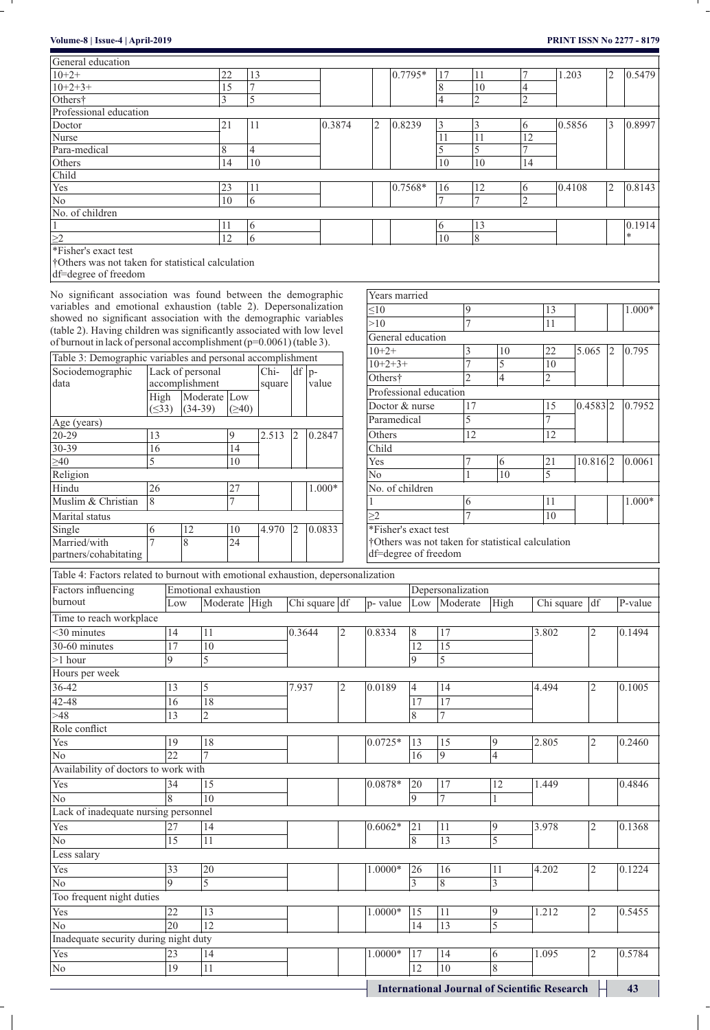- 11  $\overline{a}$ 

 $\overline{\phantom{a}}$ 

| Volume-8   Issue-4   April-2019                                                                                                                 |                          |                |              |                             |        |               |          |                |                                                               |                      |                      |                   |                |                                                   |                |        |                |                | <b>PRINT ISSN No 2277 - 8179</b> |
|-------------------------------------------------------------------------------------------------------------------------------------------------|--------------------------|----------------|--------------|-----------------------------|--------|---------------|----------|----------------|---------------------------------------------------------------|----------------------|----------------------|-------------------|----------------|---------------------------------------------------|----------------|--------|----------------|----------------|----------------------------------|
| General education                                                                                                                               |                          |                |              |                             |        |               |          |                |                                                               |                      |                      |                   |                |                                                   |                |        |                |                |                                  |
| $10+2+$                                                                                                                                         |                          |                | 22           | 13                          |        |               |          |                |                                                               | 0.7795*              |                      | 17                | 11             |                                                   |                | 1.203  |                | 2              | 0.5479                           |
| $10+2+3+$                                                                                                                                       |                          |                | 15           | $\overline{7}$              |        |               |          |                |                                                               |                      |                      | 8                 | 10             |                                                   | 4              |        |                |                |                                  |
| Others†                                                                                                                                         |                          |                |              | 5<br>3                      |        |               |          |                |                                                               |                      |                      | $\overline{4}$    | $\overline{c}$ |                                                   | $\overline{c}$ |        |                |                |                                  |
| Professional education                                                                                                                          |                          |                |              |                             |        |               |          |                |                                                               |                      |                      |                   |                |                                                   |                |        |                |                |                                  |
| Doctor                                                                                                                                          |                          |                | 21           | 11                          |        |               | 0.3874   |                | $\overline{c}$                                                | 0.8239               |                      | 3                 | 3              |                                                   | 6              | 0.5856 |                | 3              | 0.8997                           |
| Nurse                                                                                                                                           |                          |                |              |                             |        |               |          |                |                                                               |                      |                      | 11                | 11             |                                                   | 12             |        |                |                |                                  |
| Para-medical                                                                                                                                    |                          |                | 8            | $\overline{4}$              |        |               |          |                |                                                               |                      |                      | 5                 | 5              |                                                   | 7              |        |                |                |                                  |
| Others                                                                                                                                          |                          |                |              | 10<br>14                    |        |               |          |                |                                                               |                      |                      | 10                | 10             |                                                   | 14             |        |                |                |                                  |
| Child                                                                                                                                           |                          |                |              |                             |        |               |          |                |                                                               |                      |                      |                   |                |                                                   |                |        |                |                |                                  |
| Yes                                                                                                                                             |                          |                | 23           | 11                          |        |               |          |                |                                                               | 0.7568*              |                      | 16                | 12             |                                                   | 6              | 0.4108 |                | $\overline{2}$ | 0.8143                           |
| $\overline{No}$                                                                                                                                 |                          |                |              | 10<br>$\overline{6}$        |        |               |          |                |                                                               |                      |                      | 7                 | 7              |                                                   | $\overline{2}$ |        |                |                |                                  |
| No. of children                                                                                                                                 |                          |                |              |                             |        |               |          |                |                                                               |                      |                      |                   |                |                                                   |                |        |                |                |                                  |
| $\mathbf{1}$                                                                                                                                    |                          |                | 11           | 6                           |        |               |          |                |                                                               |                      |                      | 6                 | 13             |                                                   |                |        |                |                | 0.1914<br>*                      |
| $\frac{\geq 2}{*Fisher's exact test}$                                                                                                           |                          |                | 12           | 6                           |        |               |          |                |                                                               |                      |                      | 10                | 8              |                                                   |                |        |                |                |                                  |
| †Others was not taken for statistical calculation                                                                                               |                          |                |              |                             |        |               |          |                |                                                               |                      |                      |                   |                |                                                   |                |        |                |                |                                  |
| df=degree of freedom                                                                                                                            |                          |                |              |                             |        |               |          |                |                                                               |                      |                      |                   |                |                                                   |                |        |                |                |                                  |
|                                                                                                                                                 |                          |                |              |                             |        |               |          |                |                                                               |                      |                      |                   |                |                                                   |                |        |                |                |                                  |
| No significant association was found between the demographic                                                                                    |                          |                |              |                             |        |               |          |                |                                                               | Years married        |                      |                   |                |                                                   |                |        |                |                |                                  |
| variables and emotional exhaustion (table 2). Depersonalization                                                                                 |                          |                |              |                             |        |               |          |                | 10                                                            |                      |                      |                   | 9              |                                                   |                | 13     |                |                | 1.000*                           |
| showed no significant association with the demographic variables                                                                                |                          |                |              |                             |        |               |          |                | >10                                                           |                      |                      |                   |                |                                                   |                | 11     |                |                |                                  |
| (table 2). Having children was significantly associated with low level<br>of burnout in lack of personal accomplishment $(p=0.0061)$ (table 3). |                          |                |              |                             |        |               |          |                |                                                               |                      | General education    |                   |                |                                                   |                |        |                |                |                                  |
|                                                                                                                                                 |                          |                |              |                             |        |               |          |                | $10+2+$                                                       |                      |                      |                   | 3              | 10                                                |                | 22     | 5.065          | 12             | 0.795                            |
| Table 3: Demographic variables and personal accomplishment                                                                                      |                          |                |              |                             |        |               |          |                | $10+2+3+$                                                     |                      |                      |                   | 7              | 5                                                 |                | 10     |                |                |                                  |
| Sociodemographic                                                                                                                                | Lack of personal<br>Chi- |                |              |                             |        |               | $df$  p- |                | $\overline{c}$<br>Others†<br>$\overline{c}$<br>$\overline{4}$ |                      |                      |                   |                |                                                   |                |        |                |                |                                  |
| data                                                                                                                                            |                          | accomplishment |              |                             | square |               | value    |                | Professional education                                        |                      |                      |                   |                |                                                   |                |        |                |                |                                  |
|                                                                                                                                                 | High                     |                | Moderate Low |                             |        |               |          |                |                                                               |                      | Doctor & nurse<br>17 |                   |                |                                                   |                | 15     |                | 0.7952         |                                  |
|                                                                                                                                                 | $( \leq 33)$             | $(34-39)$      |              | (240)                       |        |               |          |                |                                                               |                      | 5                    |                   |                |                                                   |                | 7      | 0.4583 2       |                |                                  |
| Age (years)                                                                                                                                     |                          |                |              |                             |        |               |          |                |                                                               | Paramedical          |                      |                   |                |                                                   |                |        |                |                |                                  |
| 20-29                                                                                                                                           | 13                       |                |              | 9                           | 2.513  | 2             | 0.2847   |                | 12<br>12<br>Others                                            |                      |                      |                   |                |                                                   |                |        |                |                |                                  |
| 30-39                                                                                                                                           | 16                       |                |              | 14                          |        |               |          |                | Child                                                         |                      |                      |                   |                |                                                   |                |        |                |                |                                  |
| $\geq 40$                                                                                                                                       | 5                        |                |              | 10                          |        |               |          |                | Yes<br>21<br>10.816 2<br>6                                    |                      |                      |                   |                |                                                   |                |        |                |                | 0.0061                           |
| Religion                                                                                                                                        |                          |                |              |                             |        |               |          |                | N <sub>0</sub>                                                |                      |                      |                   |                | 10                                                |                | 5      |                |                |                                  |
| Hindu                                                                                                                                           | 26                       |                |              | 27                          |        |               | $1.000*$ |                |                                                               | No. of children      |                      |                   |                |                                                   |                |        |                |                |                                  |
| Muslim & Christian                                                                                                                              | 8                        |                |              | 7                           |        |               |          |                |                                                               |                      |                      |                   | 6              |                                                   |                | 11     |                |                | 1.000*                           |
| Marital status                                                                                                                                  |                          |                |              |                             |        |               |          |                | >2                                                            |                      |                      |                   | 7              |                                                   |                | 10     |                |                |                                  |
| Single                                                                                                                                          | 6                        | 12             |              | 10                          | 4.970  | 2             | 0.0833   |                |                                                               | *Fisher's exact test |                      |                   |                |                                                   |                |        |                |                |                                  |
| Married/with                                                                                                                                    | 7                        | 8              |              | 24                          |        |               |          |                |                                                               |                      |                      |                   |                | †Others was not taken for statistical calculation |                |        |                |                |                                  |
| partners/cohabitating                                                                                                                           |                          |                |              |                             |        |               |          |                |                                                               | df=degree of freedom |                      |                   |                |                                                   |                |        |                |                |                                  |
| Table 4: Factors related to burnout with emotional exhaustion, depersonalization                                                                |                          |                |              |                             |        |               |          |                |                                                               |                      |                      |                   |                |                                                   |                |        |                |                |                                  |
| Factors influencing                                                                                                                             |                          |                |              | <b>Emotional</b> exhaustion |        |               |          |                |                                                               |                      |                      | Depersonalization |                |                                                   |                |        |                |                |                                  |
| burnout                                                                                                                                         |                          | Low            |              | Moderate High               |        | Chi square df |          | p-value        |                                                               | Low                  | Moderate             |                   | High           |                                                   | Chi square     | df     |                | P-value        |                                  |
| Time to reach workplace                                                                                                                         |                          |                |              |                             |        |               |          |                |                                                               |                      |                      |                   |                |                                                   |                |        |                |                |                                  |
| <30 minutes                                                                                                                                     |                          | 14             | 11           |                             |        | 0.3644        |          | $\overline{2}$ | 0.8334                                                        | 8                    |                      | 17                |                |                                                   | 3.802          |        | $\overline{2}$ |                | 0.1494                           |
| 30-60 minutes                                                                                                                                   |                          | 17             | 10           |                             |        |               |          |                |                                                               | 12                   |                      | 15                |                |                                                   |                |        |                |                |                                  |
|                                                                                                                                                 | $\overline{9}$           |                |              |                             |        |               |          |                |                                                               | $\overline{Q}$       |                      |                   |                |                                                   |                |        |                |                |                                  |
| $>1$ hour                                                                                                                                       |                          |                | 5            |                             |        |               |          |                |                                                               |                      |                      | 5                 |                |                                                   |                |        |                |                |                                  |
| Hours per week                                                                                                                                  |                          |                |              |                             |        |               |          |                |                                                               |                      |                      |                   |                |                                                   |                |        |                |                |                                  |
| $36 - 42$                                                                                                                                       |                          | 13             | 5            |                             |        | 7.937         |          | 2              | 0.0189                                                        | 4                    |                      | 14                |                |                                                   | 4.494          |        | $\overline{c}$ |                | 0.1005                           |

**International Journal of Scientific Research 43** 42-48 16 18 17 17 17  $>48$  13 2 13 2 13 2 Role conflict Yes 19 18 0.0725\* 13 15 9 2.805 2 0.2460 No 22 |7 | | | | |6 |9 |4 Availability of doctors to work with Yes 34 |15 | 0.0878\* |20 |17 |12 |1.449 | 0.4846 No 8 10 9 7 1 Lack of inadequate nursing personnel Yes 27 14 0.6062\* 21 11 9 3.978 2 0.1368 No 15 11 8 13 5 Less salary Yes 33 20 1.0000\* 26 16 11 4.202 2 0.1224 No 9 5 3 8 3 Too frequent night duties Yes 22 13 1.0000\* 15 11 9 1.212 2 0.5455 No 20 | 12 | | | | | | | 13 | 5 Inadequate security during night duty Yes 23 |14 | |1.0000\* |17 |14 |6 |1.095 |2 |0.5784 No 19 11 12 10 8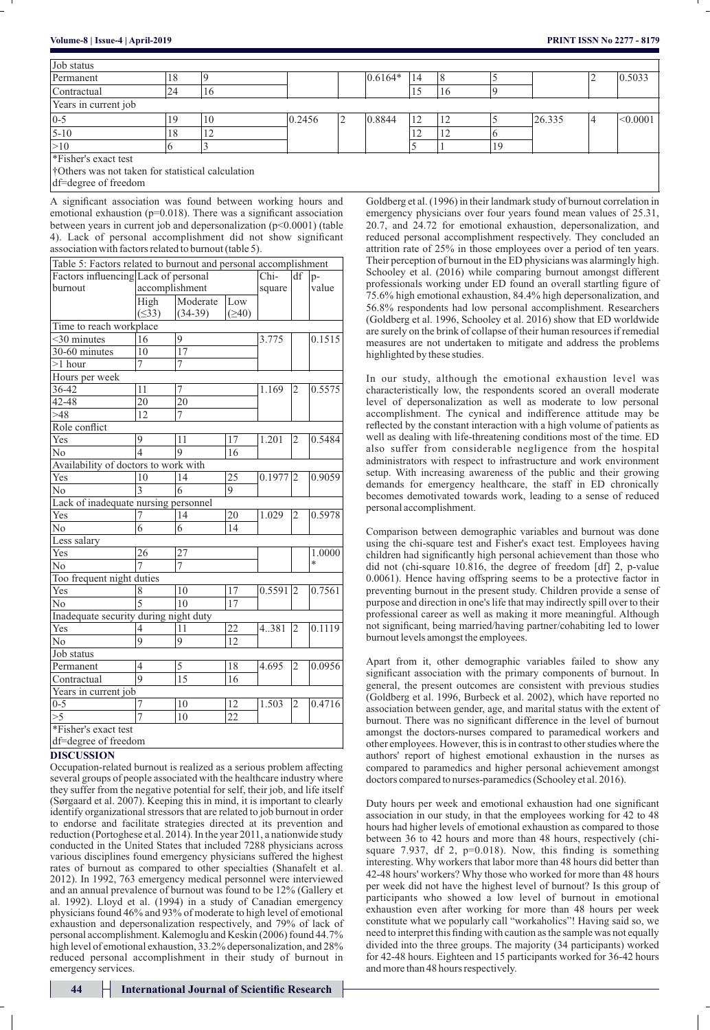| Job status                                        |    |    |        |           |    |    |        |  |             |
|---------------------------------------------------|----|----|--------|-----------|----|----|--------|--|-------------|
| Permanent                                         | 18 |    |        | $0.6164*$ | 14 |    |        |  | 0.5033      |
| Contractual                                       | 24 | 16 |        |           |    | 16 |        |  |             |
| Years in current job                              |    |    |        |           |    |    |        |  |             |
| $ 0-5$                                            |    | 10 | 0.2456 | 0.8844    |    | 12 | 26.335 |  | $ <$ 0.0001 |
| $5 - 10$                                          | 18 |    |        |           |    | 12 |        |  |             |
| >10                                               |    |    |        |           |    |    |        |  |             |
| *Fisher's exact test                              |    |    |        |           |    |    |        |  |             |
| †Others was not taken for statistical calculation |    |    |        |           |    |    |        |  |             |

| Volume-8   Issue-4   April-2019                                                                                                                                                                                                                                                                                                                                                                                 |                          |                                                                                                                                                               |                 |                       |        |        |   |                                                                                                                                                 |                 |                                       |                                                                                                                                                                                                                                                                                                                                                                                                                                      |                                                                                                                                              |                                                                                                                                            | <b>PRINT ISSN No 2277 - 8179</b>                           |  |  |  |  |  |  |  |  |                                                              |  |
|-----------------------------------------------------------------------------------------------------------------------------------------------------------------------------------------------------------------------------------------------------------------------------------------------------------------------------------------------------------------------------------------------------------------|--------------------------|---------------------------------------------------------------------------------------------------------------------------------------------------------------|-----------------|-----------------------|--------|--------|---|-------------------------------------------------------------------------------------------------------------------------------------------------|-----------------|---------------------------------------|--------------------------------------------------------------------------------------------------------------------------------------------------------------------------------------------------------------------------------------------------------------------------------------------------------------------------------------------------------------------------------------------------------------------------------------|----------------------------------------------------------------------------------------------------------------------------------------------|--------------------------------------------------------------------------------------------------------------------------------------------|------------------------------------------------------------|--|--|--|--|--|--|--|--|--------------------------------------------------------------|--|
| Job status                                                                                                                                                                                                                                                                                                                                                                                                      |                          |                                                                                                                                                               |                 |                       |        |        |   |                                                                                                                                                 |                 |                                       |                                                                                                                                                                                                                                                                                                                                                                                                                                      |                                                                                                                                              |                                                                                                                                            |                                                            |  |  |  |  |  |  |  |  |                                                              |  |
| Permanent                                                                                                                                                                                                                                                                                                                                                                                                       |                          | 18                                                                                                                                                            | 9               |                       |        |        |   | $0.6164*$                                                                                                                                       | 14              | 8                                     | 5                                                                                                                                                                                                                                                                                                                                                                                                                                    |                                                                                                                                              | 2                                                                                                                                          | 0.5033                                                     |  |  |  |  |  |  |  |  |                                                              |  |
| Contractual                                                                                                                                                                                                                                                                                                                                                                                                     |                          | $\overline{24}$                                                                                                                                               | 16              |                       |        |        |   |                                                                                                                                                 | $\overline{15}$ | 16                                    | 9                                                                                                                                                                                                                                                                                                                                                                                                                                    |                                                                                                                                              |                                                                                                                                            |                                                            |  |  |  |  |  |  |  |  |                                                              |  |
| Years in current job                                                                                                                                                                                                                                                                                                                                                                                            |                          |                                                                                                                                                               |                 |                       |        |        |   |                                                                                                                                                 |                 |                                       |                                                                                                                                                                                                                                                                                                                                                                                                                                      |                                                                                                                                              |                                                                                                                                            |                                                            |  |  |  |  |  |  |  |  |                                                              |  |
| $0 - 5$                                                                                                                                                                                                                                                                                                                                                                                                         |                          | 19                                                                                                                                                            | 10              |                       | 0.2456 |        | 2 | 0.8844                                                                                                                                          | 12              | 12                                    | 5                                                                                                                                                                                                                                                                                                                                                                                                                                    | 26.335                                                                                                                                       | 4                                                                                                                                          | < 0.0001                                                   |  |  |  |  |  |  |  |  |                                                              |  |
| $5 - 10$                                                                                                                                                                                                                                                                                                                                                                                                        |                          | 18                                                                                                                                                            | $\overline{12}$ |                       |        |        |   |                                                                                                                                                 | 12              | 12                                    | $\overline{6}$                                                                                                                                                                                                                                                                                                                                                                                                                       |                                                                                                                                              |                                                                                                                                            |                                                            |  |  |  |  |  |  |  |  |                                                              |  |
| >10                                                                                                                                                                                                                                                                                                                                                                                                             |                          | 6                                                                                                                                                             | 3               |                       |        |        |   |                                                                                                                                                 | 5               | 1                                     | 19                                                                                                                                                                                                                                                                                                                                                                                                                                   |                                                                                                                                              |                                                                                                                                            |                                                            |  |  |  |  |  |  |  |  |                                                              |  |
| *Fisher's exact test                                                                                                                                                                                                                                                                                                                                                                                            |                          |                                                                                                                                                               |                 |                       |        |        |   |                                                                                                                                                 |                 |                                       |                                                                                                                                                                                                                                                                                                                                                                                                                                      |                                                                                                                                              |                                                                                                                                            |                                                            |  |  |  |  |  |  |  |  |                                                              |  |
| †Others was not taken for statistical calculation<br>df=degree of freedom                                                                                                                                                                                                                                                                                                                                       |                          |                                                                                                                                                               |                 |                       |        |        |   |                                                                                                                                                 |                 |                                       |                                                                                                                                                                                                                                                                                                                                                                                                                                      |                                                                                                                                              |                                                                                                                                            |                                                            |  |  |  |  |  |  |  |  |                                                              |  |
| A significant association was found between working hours and<br>emotional exhaustion ( $p=0.018$ ). There was a significant association<br>between years in current job and depersonalization $(p<0.0001)$ (table<br>4). Lack of personal accomplishment did not show significant<br>association with factors related to burnout (table 5).<br>Table 5: Factors related to burnout and personal accomplishment |                          |                                                                                                                                                               |                 |                       |        |        |   |                                                                                                                                                 |                 |                                       | Goldberg et al. (1996) in their landmark study of burnout correlation in<br>emergency physicians over four years found mean values of 25.31,<br>20.7, and 24.72 for emotional exhaustion, depersonalization, and<br>reduced personal accomplishment respectively. They concluded an<br>attrition rate of 25% in those employees over a period of ten years.<br>Their perception of burnout in the ED physicians was alarmingly high. |                                                                                                                                              |                                                                                                                                            |                                                            |  |  |  |  |  |  |  |  |                                                              |  |
| Factors influencing Lack of personal                                                                                                                                                                                                                                                                                                                                                                            |                          |                                                                                                                                                               |                 | Chi-                  | df     | p-     |   |                                                                                                                                                 |                 |                                       |                                                                                                                                                                                                                                                                                                                                                                                                                                      | Schooley et al. (2016) while comparing burnout amongst different                                                                             |                                                                                                                                            |                                                            |  |  |  |  |  |  |  |  |                                                              |  |
| burnout                                                                                                                                                                                                                                                                                                                                                                                                         |                          | accomplishment                                                                                                                                                |                 | square                |        | value  |   |                                                                                                                                                 |                 |                                       |                                                                                                                                                                                                                                                                                                                                                                                                                                      | professionals working under ED found an overall startling figure of                                                                          |                                                                                                                                            |                                                            |  |  |  |  |  |  |  |  |                                                              |  |
|                                                                                                                                                                                                                                                                                                                                                                                                                 | High<br>$( \leq 33)$     | Moderate<br>$(34-39)$                                                                                                                                         | Low<br>(240)    |                       |        |        |   | 75.6% high emotional exhaustion, 84.4% high depersonalization, and<br>56.8% respondents had low personal accomplishment. Researchers            |                 |                                       |                                                                                                                                                                                                                                                                                                                                                                                                                                      |                                                                                                                                              |                                                                                                                                            |                                                            |  |  |  |  |  |  |  |  |                                                              |  |
| Time to reach workplace                                                                                                                                                                                                                                                                                                                                                                                         |                          |                                                                                                                                                               |                 |                       |        |        |   | (Goldberg et al. 1996, Schooley et al. 2016) show that ED worldwide<br>are surely on the brink of collapse of their human resources if remedial |                 |                                       |                                                                                                                                                                                                                                                                                                                                                                                                                                      |                                                                                                                                              |                                                                                                                                            |                                                            |  |  |  |  |  |  |  |  |                                                              |  |
| $<$ 30 minutes                                                                                                                                                                                                                                                                                                                                                                                                  | 16                       | 9                                                                                                                                                             |                 | 3.775                 |        | 0.1515 |   |                                                                                                                                                 |                 |                                       |                                                                                                                                                                                                                                                                                                                                                                                                                                      |                                                                                                                                              |                                                                                                                                            |                                                            |  |  |  |  |  |  |  |  |                                                              |  |
| 30-60 minutes                                                                                                                                                                                                                                                                                                                                                                                                   | 10                       | 17                                                                                                                                                            |                 |                       |        |        |   | measures are not undertaken to mitigate and address the problems<br>highlighted by these studies.                                               |                 |                                       |                                                                                                                                                                                                                                                                                                                                                                                                                                      |                                                                                                                                              |                                                                                                                                            |                                                            |  |  |  |  |  |  |  |  |                                                              |  |
| $>1$ hour                                                                                                                                                                                                                                                                                                                                                                                                       |                          |                                                                                                                                                               |                 |                       |        |        |   |                                                                                                                                                 |                 |                                       |                                                                                                                                                                                                                                                                                                                                                                                                                                      |                                                                                                                                              |                                                                                                                                            |                                                            |  |  |  |  |  |  |  |  |                                                              |  |
| Hours per week<br>36-42                                                                                                                                                                                                                                                                                                                                                                                         | 11                       | In our study, although the emotional exhaustion level was<br>7<br>0.5575<br>1.169<br>12<br>characteristically low, the respondents scored an overall moderate |                 |                       |        |        |   |                                                                                                                                                 |                 |                                       |                                                                                                                                                                                                                                                                                                                                                                                                                                      |                                                                                                                                              |                                                                                                                                            |                                                            |  |  |  |  |  |  |  |  |                                                              |  |
| 42-48                                                                                                                                                                                                                                                                                                                                                                                                           | 20                       | 20                                                                                                                                                            |                 |                       |        |        |   |                                                                                                                                                 |                 |                                       |                                                                                                                                                                                                                                                                                                                                                                                                                                      |                                                                                                                                              | level of depersonalization as well as moderate to low personal                                                                             |                                                            |  |  |  |  |  |  |  |  |                                                              |  |
| >48                                                                                                                                                                                                                                                                                                                                                                                                             | 12                       | 7                                                                                                                                                             |                 |                       |        |        |   |                                                                                                                                                 |                 |                                       |                                                                                                                                                                                                                                                                                                                                                                                                                                      |                                                                                                                                              |                                                                                                                                            |                                                            |  |  |  |  |  |  |  |  | accomplishment. The cynical and indifference attitude may be |  |
| Role conflict                                                                                                                                                                                                                                                                                                                                                                                                   |                          |                                                                                                                                                               |                 |                       |        |        |   | reflected by the constant interaction with a high volume of patients as                                                                         |                 |                                       |                                                                                                                                                                                                                                                                                                                                                                                                                                      |                                                                                                                                              |                                                                                                                                            |                                                            |  |  |  |  |  |  |  |  |                                                              |  |
| Yes                                                                                                                                                                                                                                                                                                                                                                                                             | 9                        | 11                                                                                                                                                            | 17              | 1.201                 | 2      | 0.5484 |   |                                                                                                                                                 |                 |                                       |                                                                                                                                                                                                                                                                                                                                                                                                                                      | well as dealing with life-threatening conditions most of the time. ED                                                                        |                                                                                                                                            |                                                            |  |  |  |  |  |  |  |  |                                                              |  |
| No                                                                                                                                                                                                                                                                                                                                                                                                              | $\overline{\mathcal{L}}$ | $\mathbf Q$                                                                                                                                                   | 16              |                       |        |        |   |                                                                                                                                                 |                 |                                       |                                                                                                                                                                                                                                                                                                                                                                                                                                      |                                                                                                                                              |                                                                                                                                            | also suffer from considerable negligence from the hospital |  |  |  |  |  |  |  |  |                                                              |  |
| Availability of doctors to work with                                                                                                                                                                                                                                                                                                                                                                            |                          |                                                                                                                                                               |                 |                       |        |        |   | administrators with respect to infrastructure and work environment<br>setup. With increasing awareness of the public and their growing          |                 |                                       |                                                                                                                                                                                                                                                                                                                                                                                                                                      |                                                                                                                                              |                                                                                                                                            |                                                            |  |  |  |  |  |  |  |  |                                                              |  |
| Yes                                                                                                                                                                                                                                                                                                                                                                                                             | 10                       | 14                                                                                                                                                            | 25<br>9         | $0.1977$ <sub>2</sub> |        | 0.9059 |   |                                                                                                                                                 |                 |                                       |                                                                                                                                                                                                                                                                                                                                                                                                                                      |                                                                                                                                              |                                                                                                                                            |                                                            |  |  |  |  |  |  |  |  |                                                              |  |
| No<br>Lack of inadequate nursing personnel                                                                                                                                                                                                                                                                                                                                                                      | 3                        | 6                                                                                                                                                             |                 |                       |        |        |   | demands for emergency healthcare, the staff in ED chronically<br>becomes demotivated towards work, leading to a sense of reduced                |                 |                                       |                                                                                                                                                                                                                                                                                                                                                                                                                                      |                                                                                                                                              |                                                                                                                                            |                                                            |  |  |  |  |  |  |  |  |                                                              |  |
| Yes                                                                                                                                                                                                                                                                                                                                                                                                             | 7                        | 14                                                                                                                                                            | 20              | 1.029                 | 2      | 0.5978 |   | personal accomplishment.                                                                                                                        |                 |                                       |                                                                                                                                                                                                                                                                                                                                                                                                                                      |                                                                                                                                              |                                                                                                                                            |                                                            |  |  |  |  |  |  |  |  |                                                              |  |
| No                                                                                                                                                                                                                                                                                                                                                                                                              | 6                        | 6                                                                                                                                                             | 14              |                       |        |        |   |                                                                                                                                                 |                 |                                       |                                                                                                                                                                                                                                                                                                                                                                                                                                      | Comparison between demographic variables and burnout was done                                                                                |                                                                                                                                            |                                                            |  |  |  |  |  |  |  |  |                                                              |  |
| Less salary                                                                                                                                                                                                                                                                                                                                                                                                     |                          |                                                                                                                                                               |                 |                       |        |        |   |                                                                                                                                                 |                 |                                       |                                                                                                                                                                                                                                                                                                                                                                                                                                      | using the chi-square test and Fisher's exact test. Employees having                                                                          |                                                                                                                                            |                                                            |  |  |  |  |  |  |  |  |                                                              |  |
| Yes                                                                                                                                                                                                                                                                                                                                                                                                             | 26                       | 27                                                                                                                                                            |                 |                       |        | 1.0000 |   |                                                                                                                                                 |                 |                                       |                                                                                                                                                                                                                                                                                                                                                                                                                                      | children had significantly high personal achievement than those who                                                                          |                                                                                                                                            |                                                            |  |  |  |  |  |  |  |  |                                                              |  |
| No                                                                                                                                                                                                                                                                                                                                                                                                              |                          | 7                                                                                                                                                             |                 |                       |        | $\ast$ |   |                                                                                                                                                 |                 |                                       |                                                                                                                                                                                                                                                                                                                                                                                                                                      | did not (chi-square 10.816, the degree of freedom [df] 2, p-value                                                                            |                                                                                                                                            |                                                            |  |  |  |  |  |  |  |  |                                                              |  |
| Too frequent night duties                                                                                                                                                                                                                                                                                                                                                                                       |                          |                                                                                                                                                               |                 |                       |        |        |   |                                                                                                                                                 |                 |                                       |                                                                                                                                                                                                                                                                                                                                                                                                                                      |                                                                                                                                              | 0.0061). Hence having offspring seems to be a protective factor in<br>preventing burnout in the present study. Children provide a sense of |                                                            |  |  |  |  |  |  |  |  |                                                              |  |
| Yes<br>No                                                                                                                                                                                                                                                                                                                                                                                                       | 8                        | 10<br>10                                                                                                                                                      | 17<br>17        | 0.5591 2              |        | 0.7561 |   |                                                                                                                                                 |                 |                                       |                                                                                                                                                                                                                                                                                                                                                                                                                                      | purpose and direction in one's life that may indirectly spill over to their                                                                  |                                                                                                                                            |                                                            |  |  |  |  |  |  |  |  |                                                              |  |
| Inadequate security during night duty                                                                                                                                                                                                                                                                                                                                                                           |                          |                                                                                                                                                               |                 |                       |        |        |   |                                                                                                                                                 |                 |                                       |                                                                                                                                                                                                                                                                                                                                                                                                                                      | professional career as well as making it more meaningful. Although                                                                           |                                                                                                                                            |                                                            |  |  |  |  |  |  |  |  |                                                              |  |
| Yes                                                                                                                                                                                                                                                                                                                                                                                                             | 4                        | 11                                                                                                                                                            | 22              | $4.381$ 2             |        | 0.1119 |   |                                                                                                                                                 |                 |                                       |                                                                                                                                                                                                                                                                                                                                                                                                                                      | not significant, being married/having partner/cohabiting led to lower                                                                        |                                                                                                                                            |                                                            |  |  |  |  |  |  |  |  |                                                              |  |
| No                                                                                                                                                                                                                                                                                                                                                                                                              | 9                        | 9                                                                                                                                                             | 12              |                       |        |        |   |                                                                                                                                                 |                 | burnout levels amongst the employees. |                                                                                                                                                                                                                                                                                                                                                                                                                                      |                                                                                                                                              |                                                                                                                                            |                                                            |  |  |  |  |  |  |  |  |                                                              |  |
| Job status                                                                                                                                                                                                                                                                                                                                                                                                      |                          |                                                                                                                                                               |                 |                       |        |        |   |                                                                                                                                                 |                 |                                       |                                                                                                                                                                                                                                                                                                                                                                                                                                      |                                                                                                                                              |                                                                                                                                            |                                                            |  |  |  |  |  |  |  |  |                                                              |  |
| Permanent                                                                                                                                                                                                                                                                                                                                                                                                       | 4                        | 5                                                                                                                                                             | 18              | 4.695                 | 2      | 0.0956 |   |                                                                                                                                                 |                 |                                       |                                                                                                                                                                                                                                                                                                                                                                                                                                      | Apart from it, other demographic variables failed to show any<br>significant association with the primary components of burnout. In          |                                                                                                                                            |                                                            |  |  |  |  |  |  |  |  |                                                              |  |
| Contractual                                                                                                                                                                                                                                                                                                                                                                                                     | 9                        | 15                                                                                                                                                            | 16              |                       |        |        |   |                                                                                                                                                 |                 |                                       |                                                                                                                                                                                                                                                                                                                                                                                                                                      | general, the present outcomes are consistent with previous studies                                                                           |                                                                                                                                            |                                                            |  |  |  |  |  |  |  |  |                                                              |  |
| Years in current job<br>$0 - 5$                                                                                                                                                                                                                                                                                                                                                                                 |                          | 10                                                                                                                                                            | 12              | 1.503                 | 2      | 0.4716 |   |                                                                                                                                                 |                 |                                       |                                                                                                                                                                                                                                                                                                                                                                                                                                      | (Goldberg et al. 1996, Burbeck et al. 2002), which have reported no                                                                          |                                                                                                                                            |                                                            |  |  |  |  |  |  |  |  |                                                              |  |
| $\overline{\geq 5}$                                                                                                                                                                                                                                                                                                                                                                                             | $\overline{7}$           | 10                                                                                                                                                            | 22              |                       |        |        |   |                                                                                                                                                 |                 |                                       |                                                                                                                                                                                                                                                                                                                                                                                                                                      | association between gender, age, and marital status with the extent of                                                                       |                                                                                                                                            |                                                            |  |  |  |  |  |  |  |  |                                                              |  |
| *Fisher's exact test                                                                                                                                                                                                                                                                                                                                                                                            |                          |                                                                                                                                                               |                 |                       |        |        |   |                                                                                                                                                 |                 |                                       |                                                                                                                                                                                                                                                                                                                                                                                                                                      | burnout. There was no significant difference in the level of burnout<br>amongst the doctors-nurses compared to paramedical workers and       |                                                                                                                                            |                                                            |  |  |  |  |  |  |  |  |                                                              |  |
| df=degree of freedom                                                                                                                                                                                                                                                                                                                                                                                            |                          |                                                                                                                                                               |                 |                       |        |        |   |                                                                                                                                                 |                 |                                       |                                                                                                                                                                                                                                                                                                                                                                                                                                      | other employees. However, this is in contrast to other studies where the                                                                     |                                                                                                                                            |                                                            |  |  |  |  |  |  |  |  |                                                              |  |
| <b>DISCUSSION</b>                                                                                                                                                                                                                                                                                                                                                                                               |                          |                                                                                                                                                               |                 |                       |        |        |   |                                                                                                                                                 |                 |                                       |                                                                                                                                                                                                                                                                                                                                                                                                                                      | authors' report of highest emotional exhaustion in the nurses as                                                                             |                                                                                                                                            |                                                            |  |  |  |  |  |  |  |  |                                                              |  |
| Occupation-related burnout is realized as a serious problem affecting                                                                                                                                                                                                                                                                                                                                           |                          |                                                                                                                                                               |                 |                       |        |        |   |                                                                                                                                                 |                 |                                       |                                                                                                                                                                                                                                                                                                                                                                                                                                      | compared to paramedics and higher personal achievement amongst                                                                               |                                                                                                                                            |                                                            |  |  |  |  |  |  |  |  |                                                              |  |
| several groups of people associated with the healthcare industry where                                                                                                                                                                                                                                                                                                                                          |                          |                                                                                                                                                               |                 |                       |        |        |   |                                                                                                                                                 |                 |                                       |                                                                                                                                                                                                                                                                                                                                                                                                                                      | doctors compared to nurses-paramedics (Schooley et al. 2016).                                                                                |                                                                                                                                            |                                                            |  |  |  |  |  |  |  |  |                                                              |  |
| they suffer from the negative potential for self, their job, and life itself<br>(Sørgaard et al. 2007). Keeping this in mind, it is important to clearly<br>identify organizational stressors that are related to job burnout in order                                                                                                                                                                          |                          |                                                                                                                                                               |                 |                       |        |        |   |                                                                                                                                                 |                 |                                       |                                                                                                                                                                                                                                                                                                                                                                                                                                      | Duty hours per week and emotional exhaustion had one significant                                                                             |                                                                                                                                            |                                                            |  |  |  |  |  |  |  |  |                                                              |  |
| to endorse and facilitate strategies directed at its prevention and                                                                                                                                                                                                                                                                                                                                             |                          |                                                                                                                                                               |                 |                       |        |        |   |                                                                                                                                                 |                 |                                       |                                                                                                                                                                                                                                                                                                                                                                                                                                      | association in our study, in that the employees working for 42 to 48<br>hours had higher levels of emotional exhaustion as compared to those |                                                                                                                                            |                                                            |  |  |  |  |  |  |  |  |                                                              |  |
| reduction (Portoghese et al. 2014). In the year 2011, a nationwide study                                                                                                                                                                                                                                                                                                                                        |                          |                                                                                                                                                               |                 |                       |        |        |   |                                                                                                                                                 |                 |                                       |                                                                                                                                                                                                                                                                                                                                                                                                                                      | between 36 to 42 hours and more than 48 hours, respectively (chi-                                                                            |                                                                                                                                            |                                                            |  |  |  |  |  |  |  |  |                                                              |  |
| conducted in the United States that included 7288 physicians across                                                                                                                                                                                                                                                                                                                                             |                          |                                                                                                                                                               |                 |                       |        |        |   |                                                                                                                                                 |                 |                                       |                                                                                                                                                                                                                                                                                                                                                                                                                                      | square 7.937, df 2, $p=0.018$ ). Now, this finding is something                                                                              |                                                                                                                                            |                                                            |  |  |  |  |  |  |  |  |                                                              |  |
| various disciplines found emergency physicians suffered the highest<br>rates of burnout as compared to other specialties (Shanafelt et al.                                                                                                                                                                                                                                                                      |                          |                                                                                                                                                               |                 |                       |        |        |   |                                                                                                                                                 |                 |                                       |                                                                                                                                                                                                                                                                                                                                                                                                                                      | interesting. Why workers that labor more than 48 hours did better than                                                                       |                                                                                                                                            |                                                            |  |  |  |  |  |  |  |  |                                                              |  |
| 2012). In 1992, 763 emergency medical personnel were interviewed                                                                                                                                                                                                                                                                                                                                                |                          |                                                                                                                                                               |                 |                       |        |        |   |                                                                                                                                                 |                 |                                       |                                                                                                                                                                                                                                                                                                                                                                                                                                      | 42-48 hours' workers? Why those who worked for more than 48 hours                                                                            |                                                                                                                                            |                                                            |  |  |  |  |  |  |  |  |                                                              |  |
| and an annual prevalence of burnout was found to be 12% (Gallery et                                                                                                                                                                                                                                                                                                                                             |                          |                                                                                                                                                               |                 |                       |        |        |   |                                                                                                                                                 |                 |                                       |                                                                                                                                                                                                                                                                                                                                                                                                                                      | per week did not have the highest level of burnout? Is this group of<br>participants who showed a low level of burnout in emotional          |                                                                                                                                            |                                                            |  |  |  |  |  |  |  |  |                                                              |  |
| al. 1992). Lloyd et al. (1994) in a study of Canadian emergency                                                                                                                                                                                                                                                                                                                                                 |                          |                                                                                                                                                               |                 |                       |        |        |   |                                                                                                                                                 |                 |                                       |                                                                                                                                                                                                                                                                                                                                                                                                                                      | exhaustion even after working for more than 48 hours per week                                                                                |                                                                                                                                            |                                                            |  |  |  |  |  |  |  |  |                                                              |  |
| physicians found 46% and 93% of moderate to high level of emotional<br>exhaustion and depersonalization respectively, and 79% of lack of                                                                                                                                                                                                                                                                        |                          |                                                                                                                                                               |                 |                       |        |        |   |                                                                                                                                                 |                 |                                       |                                                                                                                                                                                                                                                                                                                                                                                                                                      | constitute what we popularly call "workaholics"! Having said so, we                                                                          |                                                                                                                                            |                                                            |  |  |  |  |  |  |  |  |                                                              |  |
| personal accomplishment. Kalemoglu and Keskin (2006) found 44.7%                                                                                                                                                                                                                                                                                                                                                |                          |                                                                                                                                                               |                 |                       |        |        |   |                                                                                                                                                 |                 |                                       |                                                                                                                                                                                                                                                                                                                                                                                                                                      | need to interpret this finding with caution as the sample was not equally                                                                    |                                                                                                                                            |                                                            |  |  |  |  |  |  |  |  |                                                              |  |
| high level of emotional exhaustion, 33.2% depersonalization, and 28%                                                                                                                                                                                                                                                                                                                                            |                          |                                                                                                                                                               |                 |                       |        |        |   |                                                                                                                                                 |                 |                                       |                                                                                                                                                                                                                                                                                                                                                                                                                                      | divided into the three groups. The majority (34 participants) worked                                                                         |                                                                                                                                            |                                                            |  |  |  |  |  |  |  |  |                                                              |  |
| reduced personal accomplishment in their study of burnout in                                                                                                                                                                                                                                                                                                                                                    |                          |                                                                                                                                                               |                 |                       |        |        |   | for 42-48 hours. Eighteen and 15 participants worked for 36-42 hours                                                                            |                 |                                       |                                                                                                                                                                                                                                                                                                                                                                                                                                      |                                                                                                                                              |                                                                                                                                            |                                                            |  |  |  |  |  |  |  |  |                                                              |  |

# **DISCUSSION**

Occupation-related burnout is realized as a serious problem affecting several groups of people associated with the healthcare industry where they suffer from the negative potential for self, their job, and life itself (Sørgaard et al. 2007). Keeping this in mind, it is important to clearly identify organizational stressors that are related to job burnout in order to endorse and facilitate strategies directed at its prevention and reduction (Portoghese et al. 2014). In the year 2011, a nationwide study conducted in the United States that included 7288 physicians across various disciplines found emergency physicians suffered the highest rates of burnout as compared to other specialties (Shanafelt et al. 2012). In 1992, 763 emergency medical personnel were interviewed and an annual prevalence of burnout was found to be 12% (Gallery et al. 1992). Lloyd et al. (1994) in a study of Canadian emergency physicians found 46% and 93% of moderate to high level of emotional exhaustion and depersonalization respectively, and 79% of lack of personal accomplishment. Kalemoglu and Keskin (2006) found 44.7% high level of emotional exhaustion, 33.2% depersonalization, and 28% reduced personal accomplishment in their study of burnout in emergency services.

Duty hours per week and emotional exhaustion had one significant association in our study, in that the employees working for 42 to 48 hours had higher levels of emotional exhaustion as compared to those between 36 to 42 hours and more than 48 hours, respectively (chisquare 7.937, df 2,  $p=0.018$ ). Now, this finding is something interesting. Why workers that labor more than 48 hours did better than 42-48 hours' workers? Why those who worked for more than 48 hours per week did not have the highest level of burnout? Is this group of participants who showed a low level of burnout in emotional exhaustion even after working for more than 48 hours per week constitute what we popularly call "workaholics"! Having said so, we need to interpret this finding with caution as the sample was not equally divided into the three groups. The majority (34 participants) worked for 42-48 hours. Eighteen and 15 participants worked for 36-42 hours and more than 48 hours respectively.